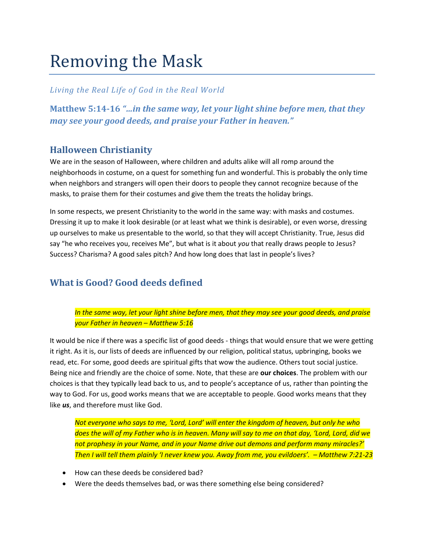# Removing the Mask

#### *Living the Real Life of God in the Real World*

**Matthew 5:14-16** *"…in the same way, let your light shine before men, that they may see your good deeds, and praise your Father in heaven."*

## **Halloween Christianity**

We are in the season of Halloween, where children and adults alike will all romp around the neighborhoods in costume, on a quest for something fun and wonderful. This is probably the only time when neighbors and strangers will open their doors to people they cannot recognize because of the masks, to praise them for their costumes and give them the treats the holiday brings.

In some respects, we present Christianity to the world in the same way: with masks and costumes. Dressing it up to make it look desirable (or at least what we think is desirable), or even worse, dressing up ourselves to make us presentable to the world, so that they will accept Christianity. True, Jesus did say "he who receives you, receives Me", but what is it about *you* that really draws people to Jesus? Success? Charisma? A good sales pitch? And how long does that last in people's lives?

# **What is Good? Good deeds defined**

*In the same way, let your light shine before men, that they may see your good deeds, and praise your Father in heaven – Matthew 5:16*

It would be nice if there was a specific list of good deeds - things that would ensure that we were getting it right. As it is, our lists of deeds are influenced by our religion, political status, upbringing, books we read, etc. For some, good deeds are spiritual gifts that wow the audience. Others tout social justice. Being nice and friendly are the choice of some. Note, that these are **our choices**. The problem with our choices is that they typically lead back to us, and to people's acceptance of us, rather than pointing the way to God. For us, good works means that we are acceptable to people. Good works means that they like *us*, and therefore must like God.

*Not everyone who says to me, 'Lord, Lord' will enter the kingdom of heaven, but only he who does the will of my Father who is in heaven. Many will say to me on that day, 'Lord, Lord, did we not prophesy in your Name, and in your Name drive out demons and perform many miracles?' Then I will tell them plainly 'I never knew you. Away from me, you evildoers'. – Matthew 7:21-23*

- How can these deeds be considered bad?
- Were the deeds themselves bad, or was there something else being considered?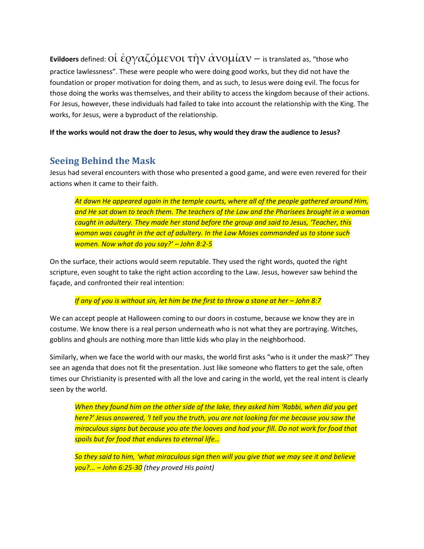**Evildoers** defined: Οἱ ἐργαζόμενοι τὴν ἀνομίαν – is translated as, "those who practice lawlessness". These were people who were doing good works, but they did not have the foundation or proper motivation for doing them, and as such, to Jesus were doing evil. The focus for those doing the works was themselves, and their ability to access the kingdom because of their actions. For Jesus, however, these individuals had failed to take into account the relationship with the King. The works, for Jesus, were a byproduct of the relationship.

**If the works would not draw the doer to Jesus, why would they draw the audience to Jesus?**

## **Seeing Behind the Mask**

Jesus had several encounters with those who presented a good game, and were even revered for their actions when it came to their faith.

*At dawn He appeared again in the temple courts, where all of the people gathered around Him, and He sat down to teach them. The teachers of the Law and the Pharisees brought in a woman caught in adultery. They made her stand before the group and said to Jesus, 'Teacher, this woman was caught in the act of adultery. In the Law Moses commanded us to stone such women. Now what do you say?' – John 8:2-5*

On the surface, their actions would seem reputable. They used the right words, quoted the right scripture, even sought to take the right action according to the Law. Jesus, however saw behind the façade, and confronted their real intention:

*If any of you is without sin, let him be the first to throw a stone at her – John 8:7* 

We can accept people at Halloween coming to our doors in costume, because we know they are in costume. We know there is a real person underneath who is not what they are portraying. Witches, goblins and ghouls are nothing more than little kids who play in the neighborhood.

Similarly, when we face the world with our masks, the world first asks "who is it under the mask?" They see an agenda that does not fit the presentation. Just like someone who flatters to get the sale, often times our Christianity is presented with all the love and caring in the world, yet the real intent is clearly seen by the world.

*When they found him on the other side of the lake, they asked him 'Rabbi, when did you get here?' Jesus answered, 'I tell you the truth, you are not looking for me because you saw the miraculous signs but because you ate the loaves and had your fill. Do not work for food that spoils but for food that endures to eternal life…* 

*So they said to him, 'what miraculous sign then will you give that we may see it and believe you?... – John 6:25-30 (they proved His point)*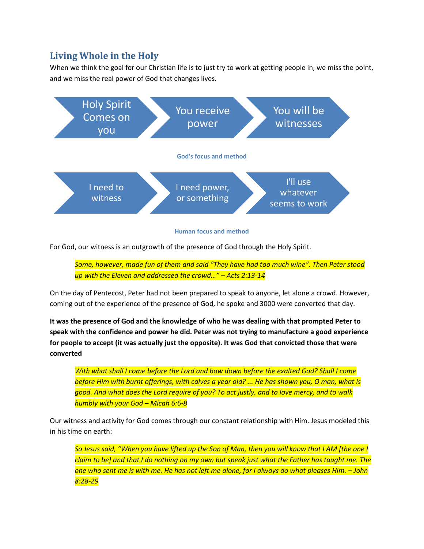## **Living Whole in the Holy**

When we think the goal for our Christian life is to just try to work at getting people in, we miss the point, and we miss the real power of God that changes lives.



**Human focus and method** 

For God, our witness is an outgrowth of the presence of God through the Holy Spirit.

*Some, however, made fun of them and said "They have had too much wine". Then Peter stood up with the Eleven and addressed the crowd…" – Acts 2:13-14*

On the day of Pentecost, Peter had not been prepared to speak to anyone, let alone a crowd. However, coming out of the experience of the presence of God, he spoke and 3000 were converted that day.

**It was the presence of God and the knowledge of who he was dealing with that prompted Peter to speak with the confidence and power he did. Peter was not trying to manufacture a good experience for people to accept (it was actually just the opposite). It was God that convicted those that were converted**

*With what shall I come before the Lord and bow down before the exalted God? Shall I come before Him with burnt offerings, with calves a year old? ... He has shown you, O man, what is good. And what does the Lord require of you? To act justly, and to love mercy, and to walk humbly with your God – Micah 6:6-8*

Our witness and activity for God comes through our constant relationship with Him. Jesus modeled this in his time on earth:

*So Jesus said, "When you have lifted up the Son of Man, then you will know that I AM [the one I claim to be] and that I do nothing on my own but speak just what the Father has taught me. The one who sent me is with me. He has not left me alone, for I always do what pleases Him. – John 8:28-29*